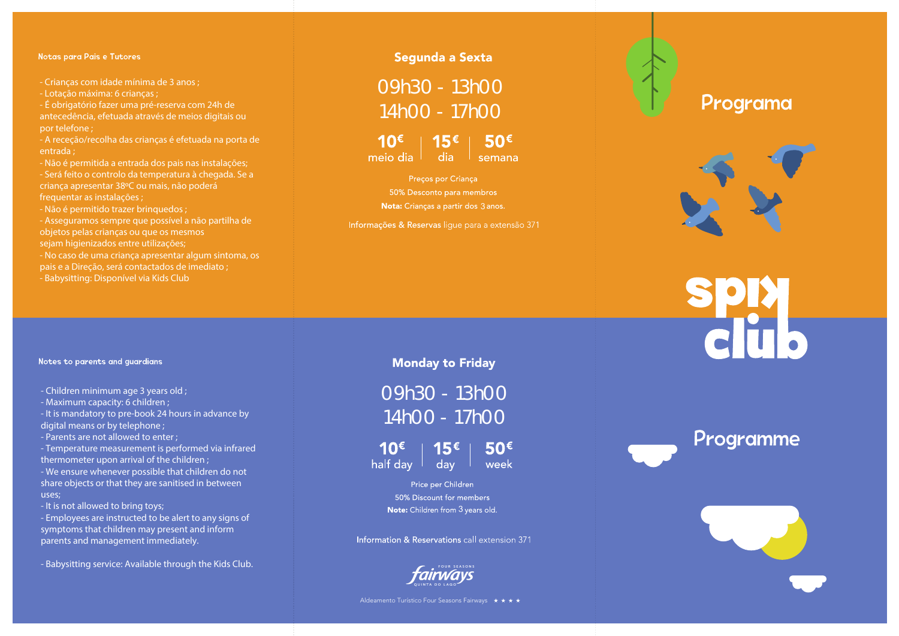### Notas para Pais e Tutores

- Crianças com idade mínima de 3 anos ;

- Lotação máxima: 6 crianças ;

- É obrigatório fazer uma pré-reserva com 24h de antecedência, efetuada através de meios digitais ou por telefone ;

- A receção/recolha das crianças é efetuada na porta de entrada ;

- Não é permitida a entrada dos pais nas instalações; - Será feito o controlo da temperatura à chegada. Se a criança apresentar 38ºC ou mais, não poderá frequentar as instalações ;

- Não é permitido trazer brinquedos :

- Asseguramos sempre que possível a não partilha de objetos pelas crianças ou que os mesmos sejam higienizados entre utilizações;

- No caso de uma criança apresentar algum sintoma, os pais e a Direção, será contactados de imediato ;

- Babysitting: Disponível via Kids Club

#### Notes to parents and quardians

- Children minimum age 3 years old ;

- Maximum capacity: 6 children ;

- It is mandatory to pre-book 24 hours in advance by digital means or by telephone :

- Parents are not allowed to enter ;

- Temperature measurement is performed via infrared thermometer upon arrival of the children ;

- We ensure whenever possible that children do not share objects or that they are sanitised in between uses;

- It is not allowed to bring toys;

- Employees are instructed to be alert to any signs of symptoms that children may present and inform parents and management immediately.

- Babysitting service: Available through the Kids Club.

## Segunda a Sexta

09h30 - 13h0014h00 - 17h00

 $10^{\epsilon}$  | 15 $^{\epsilon}$  | 50 $^{\epsilon}$ meio dia dia semana

Preços por Criança 50% Desconto para membros 3

Informações & Reservas lique para a extensão 371

## **Monday to Friday**

09h30 - 13h0014h00 - 17h00

 $15<sup>\epsilon</sup>$  $50^{\epsilon}$ 10 $\epsilon$ aday l week half day  $\vert$ 

> Price per Children 50% Discount for members 3

Information & Reservations call extension 371



# Programa